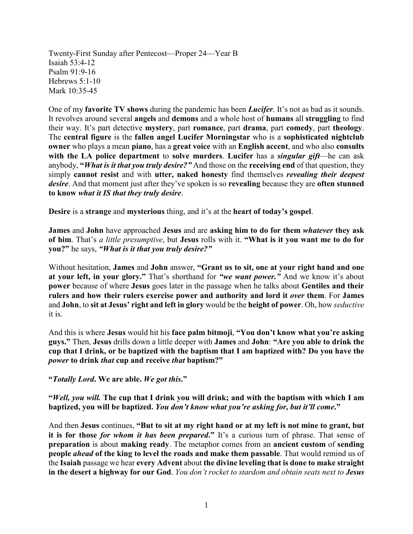Twenty-First Sunday after Pentecost—Proper 24—Year B Isaiah 53:4-12 Psalm 91:9-16 Hebrews 5:1-10 Mark 10:35-45

One of my **favorite TV shows** during the pandemic has been *Lucifer*. It's not as bad as it sounds. It revolves around several **angels** and **demons** and a whole host of **humans** all **struggling** to find their way. It's part detective **mystery**, part **romance**, part **drama**, part **comedy**, part **theology**. The **central figure** is the **fallen angel Lucifer Morningstar** who is a **sophisticated nightclub owner** who plays a mean **piano**, has a **great voice** with an **English accent**, and who also **consults with the LA police department** to **solve murders**. **Lucifer** has a *singular gift*—he can ask anybody, **"***What is it that you truly desire?"* And those on the **receiving end** of that question, they simply **cannot resist** and with **utter, naked honesty** find themselves *revealing their deepest desire*. And that moment just after they've spoken is so **revealing** because they are **often stunned to know** *what it IS that they truly desire*.

**Desire** is a **strange** and **mysterious** thing, and it's at the **heart of today's gospel**.

**James** and **John** have approached **Jesus** and are **asking him to do for them** *whatever* **they ask of him**. That's *a little presumptive*, but **Jesus** rolls with it. **"What is it you want me to do for you?"** he says, *"What is it that you truly desire?"* 

Without hesitation, **James** and **John** answer, **"Grant us to sit, one at your right hand and one at your left, in your glory."** That's shorthand for *"we want power."* And we know it's about **power** because of where **Jesus** goes later in the passage when he talks about **Gentiles and their rulers and how their rulers exercise power and authority and lord it** *over* **them**. For **James** and **John**, to **sit at Jesus' right and left in glory** would be the **height of power**. Oh, how *seductive* it is.

And this is where **Jesus** would hit his **face palm bitmoji**, **"You don't know what you're asking guys."** Then, **Jesus** drills down a little deeper with **James** and **John**: **"Are you able to drink the cup that I drink, or be baptized with the baptism that I am baptized with? Do you have the**  *power* **to drink** *that* **cup and receive** *that* **baptism?"** 

**"***Totally Lord***. We are able.** *We got this***."** 

**"***Well, you will.* **The cup that I drink you will drink; and with the baptism with which I am baptized, you will be baptized.** *You don't know what you're asking for, but it'll come***."**

And then **Jesus** continues, **"But to sit at my right hand or at my left is not mine to grant, but it is for those** *for whom it has been prepared***."** It's a curious turn of phrase. That sense of **preparation** is about **making ready**. The metaphor comes from an **ancient custom** of **sending people** *ahead* **of the king to level the roads and make them passable**. That would remind us of the **Isaiah** passage we hear **every Advent** about **the divine leveling that is done to make straight in the desert a highway for our God**. *You don't rocket to stardom and obtain seats next to Jesus*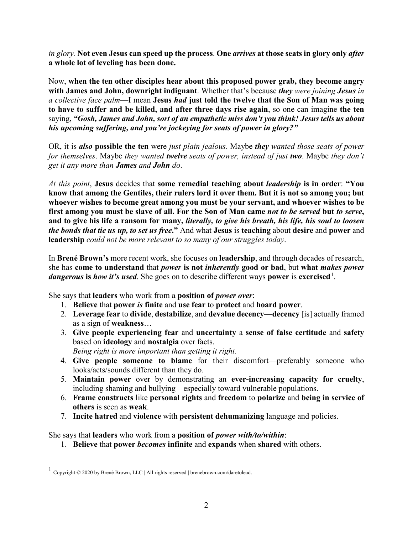*in glory.* **Not even Jesus can speed up the process**. **One** *arrives* **at those seats in glory only** *after* **a whole lot of leveling has been done.**

Now, **when the ten other disciples hear about this proposed power grab, they become angry with James and John, downright indignant**. Whether that's because *they were joining Jesus in a collective face palm*—I mean **Jesus** *had* **just told the twelve that the Son of Man was going to have to suffer and be killed, and after three days rise again**, so one can imagine **the ten** saying, *"Gosh, James and John, sort of an empathetic miss don't you think! Jesus tells us about his upcoming suffering, and you're jockeying for seats of power in glory?"*

OR, it is *also* **possible the ten** were *just plain jealous*. Maybe *they wanted those seats of power for themselves*. Maybe *they wanted twelve seats of power, instead of just two*. Maybe *they don't get it any more than James and John do*.

*At this point*, **Jesus** decides that **some remedial teaching about** *leadership* **is in order**: **"You know that among the Gentiles, their rulers lord it over them. But it is not so among you; but whoever wishes to become great among you must be your servant, and whoever wishes to be first among you must be slave of all. For the Son of Man came** *not to be served* **but** *to serve***, and to give his life a ransom for many,** *literally, to give his breath, his life, his soul to loosen the bonds that tie us up, to set us free***."** And what **Jesus** is **teaching** about **desire** and **power** and **leadership** *could not be more relevant to so many of our struggles today*.

In **Brené Brown's** more recent work, she focuses on **leadership**, and through decades of research, she has **come to understand** that *power* **is not** *inherently* **good or bad**, but **what** *makes power* dangerous is how it's used. She goes on to describe different ways power is exercised<sup>[1](#page-1-0)</sup>.

She says that **leaders** who work from a **position of** *power over*:

- 1. **Believe** that **power** *is* **finite** and **use fear** to **protect** and **hoard power**.
- 2. **Leverage fear** to **divide**, **destabilize**, and **devalue decency**—**decency** [is] actually framed as a sign of **weakness**…
- 3. **Give people experiencing fear** and **uncertainty** a **sense of false certitude** and **safety** based on **ideology** and **nostalgia** over facts.
	- *Being right is more important than getting it right.*
- 4. **Give people someone to blame** for their discomfort—preferably someone who looks/acts/sounds different than they do.
- 5. **Maintain power** over by demonstrating an **ever-increasing capacity for cruelty**, including shaming and bullying—especially toward vulnerable populations.
- 6. **Frame constructs** like **personal rights** and **freedom** to **polarize** and **being in service of others** is seen as **weak**.
- 7. **Incite hatred** and **violence** with **persistent dehumanizing** language and policies.

She says that **leaders** who work from a **position of** *power with/to/within*:

1. **Believe** that **power** *becomes* **infinite** and **expands** when **shared** with others.

<span id="page-1-0"></span> <sup>1</sup> Copyright © 2020 by Brené Brown, LLC | All rights reserved | brenebrown.com/daretolead.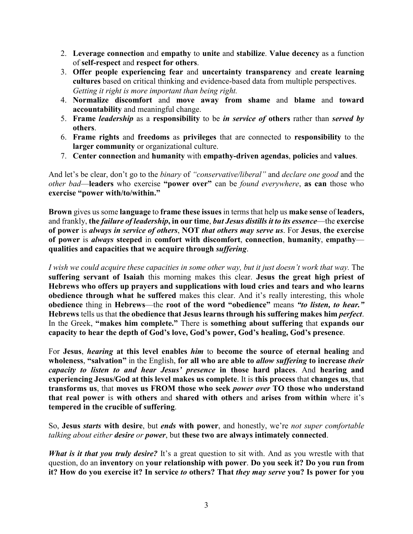- 2. **Leverage connection** and **empathy** to **unite** and **stabilize**. **Value decency** as a function of **self-respect** and **respect for others**.
- 3. **Offer people experiencing fear** and **uncertainty transparency** and **create learning cultures** based on critical thinking and evidence-based data from multiple perspectives. *Getting it right is more important than being right.*
- 4. **Normalize discomfort** and **move away from shame** and **blame** and **toward accountability** and meaningful change.
- 5. **Frame** *leadership* as a **responsibility** to be *in service of* **others** rather than *served by*  **others**.
- 6. **Frame rights** and **freedoms** as **privileges** that are connected to **responsibility** to the **larger community** or organizational culture.
- 7. **Center connection** and **humanity** with **empathy-driven agendas**, **policies** and **values**.

And let's be clear, don't go to the *binary* of *"conservative/liberal"* and *declare one good* and the *other bad*—**leaders** who exercise **"power over"** can be *found everywhere*, **as can** those who **exercise "power with/to/within."**

**Brown** gives us some **language** to **frame these issues** in terms that help us **make sense** of **leaders,**  and frankly, **the** *failure of leadership***, in our time**, *but Jesus distills it to its essence*—the **exercise of power** is *always in service of others*, **NOT** *that others may serve us*. For **Jesus**, **the exercise of power** is *always* **steeped** in **comfort with discomfort**, **connection**, **humanity**, **empathy qualities and capacities that we acquire through** *suffering*.

*I wish we could acquire these capacities in some other way, but it just doesn't work that way.* The **suffering servant of Isaiah** this morning makes this clear. **Jesus the great high priest of Hebrews who offers up prayers and supplications with loud cries and tears and who learns obedience through what he suffered** makes this clear. And it's really interesting, this whole **obedience** thing in **Hebrews**—the **root of the word "obedience"** means *"to listen, to hear."* **Hebrews** tells us that **the obedience that Jesus learns through his suffering makes him** *perfect*. In the Greek, **"makes him complete."** There is **something about suffering** that **expands our capacity to hear the depth of God's love, God's power, God's healing, God's presence**.

For **Jesus**, *hearing* **at this level enables** *him* to **become the source of eternal healing** and **wholeness**, **"salvation"** in the English, **for all who are able to** *allow suffering* **to increase** *their capacity to listen to and hear Jesus' presence* **in those hard places**. And **hearing and experiencing Jesus/God at this level makes us complete**. It is **this process** that **changes us**, that **transforms us**, that **moves us FROM those who seek** *power over* **TO those who understand that real power** is **with others** and **shared with others** and **arises from within** where it's **tempered in the crucible of suffering**.

So, **Jesus** *starts* **with desire**, but *ends* **with power**, and honestly, we're *not super comfortable talking about either desire or power*, but **these two are always intimately connected**.

*What is it that you truly desire?* It's a great question to sit with. And as you wrestle with that question, do an **inventory** on **your relationship with power**. **Do you seek it? Do you run from it? How do you exercise it? In service** *to* **others? That** *they may serve* **you? Is power for you**